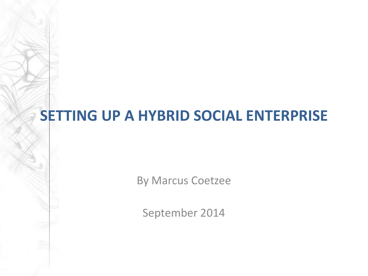#### **SETTING UP A HYBRID SOCIAL ENTERPRISE**

By Marcus Coetzee

September 2014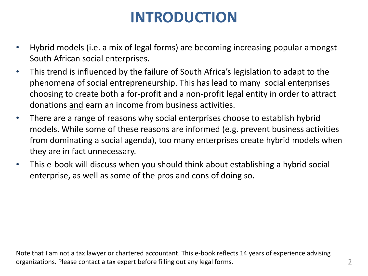## **INTRODUCTION**

- Hybrid models (i.e. a mix of legal forms) are becoming increasing popular amongst South African social enterprises.
- This trend is influenced by the failure of South Africa's legislation to adapt to the phenomena of social entrepreneurship. This has lead to many social enterprises choosing to create both a for-profit and a non-profit legal entity in order to attract donations and earn an income from business activities.
- There are a range of reasons why social enterprises choose to establish hybrid models. While some of these reasons are informed (e.g. prevent business activities from dominating a social agenda), too many enterprises create hybrid models when they are in fact unnecessary.
- This e-book will discuss when you should think about establishing a hybrid social enterprise, as well as some of the pros and cons of doing so.

Note that I am not a tax lawyer or chartered accountant. This e-book reflects 14 years of experience advising organizations. Please contact a tax expert before filling out any legal forms. 2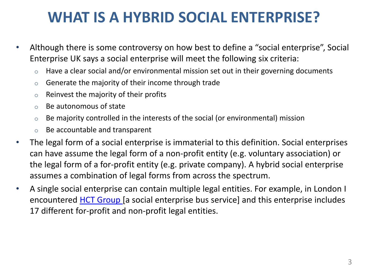#### **WHAT IS A HYBRID SOCIAL ENTERPRISE?**

- Although there is some controversy on how best to define a "social enterprise", Social Enterprise UK says a social enterprise will meet the following six criteria:
	- $\circ$  Have a clear social and/or environmental mission set out in their governing documents
	- o Generate the majority of their income through trade
	- $\circ$  Reinvest the majority of their profits
	- o Be autonomous of state
	- $\circ$  Be majority controlled in the interests of the social (or environmental) mission
	- o Be accountable and transparent
- The legal form of a social enterprise is immaterial to this definition. Social enterprises can have assume the legal form of a non-profit entity (e.g. voluntary association) or the legal form of a for-profit entity (e.g. private company). A hybrid social enterprise assumes a combination of legal forms from across the spectrum.
- A single social enterprise can contain multiple legal entities. For example, in London I encountered [HCT Group \[](http://www.hctgroup.org/)a social enterprise bus service] and this enterprise includes 17 different for-profit and non-profit legal entities.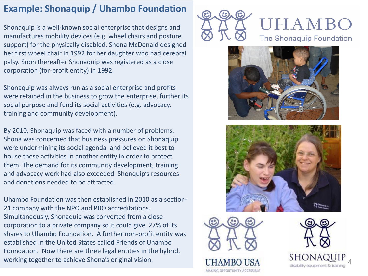#### **Example: Shonaquip / Uhambo Foundation**

Shonaquip is a well-known social enterprise that designs and manufactures mobility devices (e.g. wheel chairs and posture support) for the physically disabled. Shona McDonald designed her first wheel chair in 1992 for her daughter who had cerebral palsy. Soon thereafter Shonaquip was registered as a close corporation (for -profit entity) in 1992.

Shonaquip was always run as a social enterprise and profits were retained in the business to grow the enterprise, further its social purpose and fund its social activities (e.g. advocacy, training and community development).

By 2010, Shonaquip was faced with a number of problems. Shona was concerned that business pressures on Shonaquip were undermining its social agenda and believed it best to house these activities in another entity in order to protect them. The demand for its community development, training and advocacy work had also exceeded Shonquip's resources and donations needed to be attracted.

Uhambo Foundation was then established in 2010 as a section - 21 company with the NPO and PBO accreditations. Simultaneously, Shonaquip was converted from a close corporation to a private company so it could give 27% of its shares to Uhambo Foundation. A further non -profit entity was established in the United States called Friends of Uhambo Foundation. Now there are three legal entities in the hybrid, working together to achieve Shona's original vision.













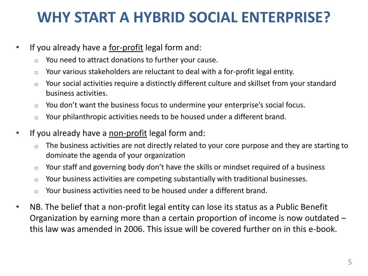#### **WHY START A HYBRID SOCIAL ENTERPRISE?**

- If you already have a <u>for-profit</u> legal form and:
	- o You need to attract donations to further your cause.
	- $\circ$  Your various stakeholders are reluctant to deal with a for-profit legal entity.
	- $\circ$  Your social activities require a distinctly different culture and skillset from your standard business activities.
	- o You don't want the business focus to undermine your enterprise's social focus.
	- $\circ$  Your philanthropic activities needs to be housed under a different brand.
- If you already have a <u>non-profit</u> legal form and:
	- $\circ$  The business activities are not directly related to your core purpose and they are starting to dominate the agenda of your organization
	- o Your staff and governing body don't have the skills or mindset required of a business
	- $\circ$  Your business activities are competing substantially with traditional businesses.
	- $\circ$  Your business activities need to be housed under a different brand.
- NB. The belief that a non-profit legal entity can lose its status as a Public Benefit Organization by earning more than a certain proportion of income is now outdated – this law was amended in 2006. This issue will be covered further on in this e-book.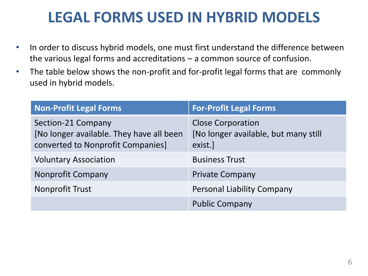#### **LEGAL FORMS USED IN HYBRID MODELS**

- In order to discuss hybrid models, one must first understand the difference between the various legal forms and accreditations – a common source of confusion.
- The table below shows the non-profit and for-profit legal forms that are commonly used in hybrid models.

| <b>Non-Profit Legal Forms</b>                                                                       | <b>For-Profit Legal Forms</b>                                               |
|-----------------------------------------------------------------------------------------------------|-----------------------------------------------------------------------------|
| Section-21 Company<br>[No longer available. They have all been<br>converted to Nonprofit Companies] | <b>Close Corporation</b><br>[No longer available, but many still<br>exist.] |
| <b>Voluntary Association</b>                                                                        | <b>Business Trust</b>                                                       |
| <b>Nonprofit Company</b>                                                                            | <b>Private Company</b>                                                      |
| <b>Nonprofit Trust</b>                                                                              | <b>Personal Liability Company</b>                                           |
|                                                                                                     | <b>Public Company</b>                                                       |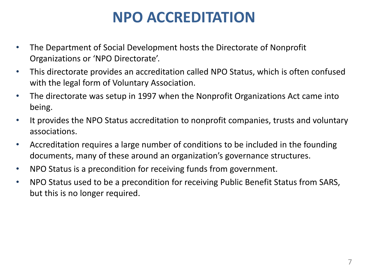### **NPO ACCREDITATION**

- The Department of Social Development hosts the Directorate of Nonprofit Organizations or 'NPO Directorate'.
- This directorate provides an accreditation called NPO Status, which is often confused with the legal form of Voluntary Association.
- The directorate was setup in 1997 when the Nonprofit Organizations Act came into being.
- It provides the NPO Status accreditation to nonprofit companies, trusts and voluntary associations.
- Accreditation requires a large number of conditions to be included in the founding documents, many of these around an organization's governance structures.
- NPO Status is a precondition for receiving funds from government.
- NPO Status used to be a precondition for receiving Public Benefit Status from SARS, but this is no longer required.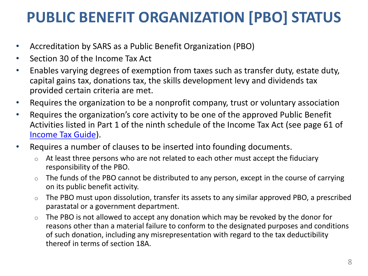## **PUBLIC BENEFIT ORGANIZATION [PBO] STATUS**

- Accreditation by SARS as a Public Benefit Organization (PBO)
- Section 30 of the Income Tax Act
- Enables varying degrees of exemption from taxes such as transfer duty, estate duty, capital gains tax, donations tax, the skills development levy and dividends tax provided certain criteria are met.
- Requires the organization to be a nonprofit company, trust or voluntary association
- Requires the organization's core activity to be one of the approved Public Benefit Activities listed in Part 1 of the ninth schedule of the Income Tax Act (see page 61 of [Income Tax Guide\)](http://www.sars.gov.za/AllDocs/OpsDocs/Guides/LAPD-Gen-G03 - Tax Exemption Guide for Public Benefit Organisations in South Africa - External Guide.pdf).
- Requires a number of clauses to be inserted into founding documents.
	- $\circ$  At least three persons who are not related to each other must accept the fiduciary responsibility of the PBO.
	- The funds of the PBO cannot be distributed to any person, except in the course of carrying on its public benefit activity.
	- $\circ$  The PBO must upon dissolution, transfer its assets to any similar approved PBO, a prescribed parastatal or a government department.
	- $\circ$  The PBO is not allowed to accept any donation which may be revoked by the donor for reasons other than a material failure to conform to the designated purposes and conditions of such donation, including any misrepresentation with regard to the tax deductibility thereof in terms of section 18A.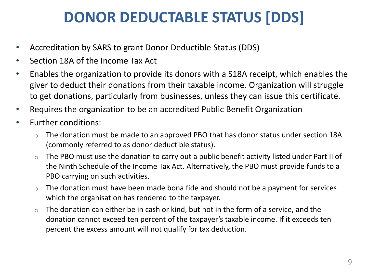## **DONOR DEDUCTABLE STATUS [DDS]**

- Accreditation by SARS to grant Donor Deductible Status (DDS)
- Section 18A of the Income Tax Act
- Enables the organization to provide its donors with a S18A receipt, which enables the giver to deduct their donations from their taxable income. Organization will struggle to get donations, particularly from businesses, unless they can issue this certificate.
- Requires the organization to be an accredited Public Benefit Organization
- Further conditions:
	- $\circ$  The donation must be made to an approved PBO that has donor status under section 18A (commonly referred to as donor deductible status).
	- $\circ$  The PBO must use the donation to carry out a public benefit activity listed under Part II of the Ninth Schedule of the Income Tax Act. Alternatively, the PBO must provide funds to a PBO carrying on such activities.
	- $\circ$  The donation must have been made bona fide and should not be a payment for services which the organisation has rendered to the taxpayer.
	- $\circ$  The donation can either be in cash or kind, but not in the form of a service, and the donation cannot exceed ten percent of the taxpayer's taxable income. If it exceeds ten percent the excess amount will not qualify for tax deduction.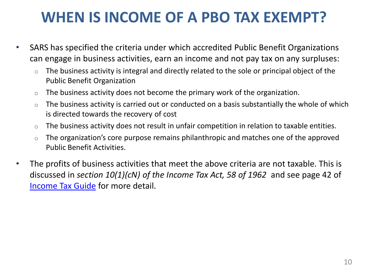#### **WHEN IS INCOME OF A PBO TAX EXEMPT?**

- SARS has specified the criteria under which accredited Public Benefit Organizations can engage in business activities, earn an income and not pay tax on any surpluses:
	- $\circ$  The business activity is integral and directly related to the sole or principal object of the Public Benefit Organization
	- $\circ$  The business activity does not become the primary work of the organization.
	- $\circ$  The business activity is carried out or conducted on a basis substantially the whole of which is directed towards the recovery of cost
	- $\circ$  The business activity does not result in unfair competition in relation to taxable entities.
	- $\circ$  The organization's core purpose remains philanthropic and matches one of the approved Public Benefit Activities.
- The profits of business activities that meet the above criteria are not taxable. This is discussed in *section 10(1)(cN) of the Income Tax Act, 58 of 1962* and see page 42 of [Income Tax Guide](http://www.sars.gov.za/AllDocs/OpsDocs/Guides/LAPD-Gen-G03 - Tax Exemption Guide for Public Benefit Organisations in South Africa - External Guide.pdf) for more detail.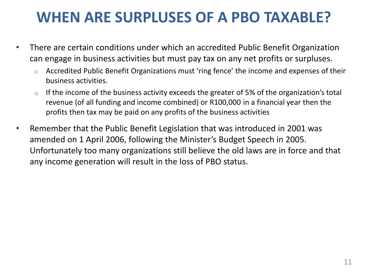#### **WHEN ARE SURPLUSES OF A PBO TAXABLE?**

- There are certain conditions under which an accredited Public Benefit Organization can engage in business activities but must pay tax on any net profits or surpluses.
	- o Accredited Public Benefit Organizations must 'ring fence' the income and expenses of their business activities.
	- $\circ$  If the income of the business activity exceeds the greater of 5% of the organization's total revenue (of all funding and income combined) or R100,000 in a financial year then the profits then tax may be paid on any profits of the business activities
- Remember that the Public Benefit Legislation that was introduced in 2001 was amended on 1 April 2006, following the Minister's Budget Speech in 2005. Unfortunately too many organizations still believe the old laws are in force and that any income generation will result in the loss of PBO status.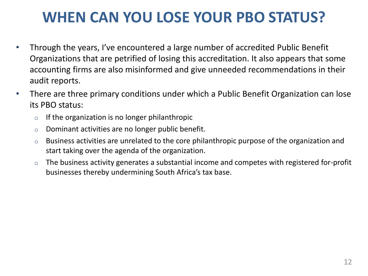### **WHEN CAN YOU LOSE YOUR PBO STATUS?**

- Through the years, I've encountered a large number of accredited Public Benefit Organizations that are petrified of losing this accreditation. It also appears that some accounting firms are also misinformed and give unneeded recommendations in their audit reports.
- There are three primary conditions under which a Public Benefit Organization can lose its PBO status:
	- $\circ$  If the organization is no longer philanthropic
	- o Dominant activities are no longer public benefit.
	- $\circ$  Business activities are unrelated to the core philanthropic purpose of the organization and start taking over the agenda of the organization.
	- $\circ$  The business activity generates a substantial income and competes with registered for-profit businesses thereby undermining South Africa's tax base.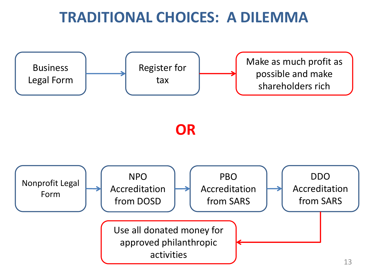#### **TRADITIONAL CHOICES: A DILEMMA**

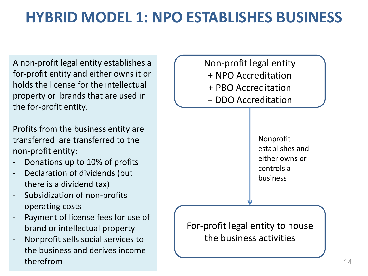#### **HYBRID MODEL 1: NPO ESTABLISHES BUSINESS**

A non-profit legal entity establishes a for-profit entity and either owns it or holds the license for the intellectual property or brands that are used in the for-profit entity.

Profits from the business entity are transferred are transferred to the non-profit entity:

- Donations up to 10% of profits
- Declaration of dividends (but there is a dividend tax)
- Subsidization of non-profits operating costs
- Payment of license fees for use of brand or intellectual property
- Nonprofit sells social services to the business and derives income therefrom

Non-profit legal entity + NPO Accreditation + PBO Accreditation + DDO Accreditation

> Nonprofit establishes and either owns or controls a business

For-profit legal entity to house the business activities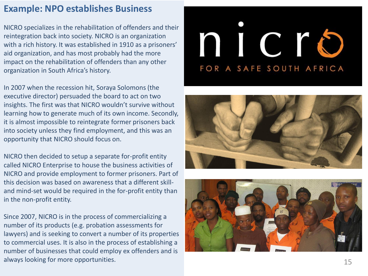#### **Example: NPO establishes Business**

NICRO specializes in the rehabilitation of offenders and their reintegration back into society. NICRO is an organization with a rich history. It was established in 1910 as a prisoners' aid organization, and has most probably had the more impact on the rehabilitation of offenders than any other organization in South Africa's history.

In 2007 when the recession hit, Soraya Solomons (the executive director) persuaded the board to act on two insights. The first was that NICRO wouldn't survive without learning how to generate much of its own income. Secondly, it is almost impossible to reintegrate former prisoners back into society unless they find employment, and this was an opportunity that NICRO should focus on.

NICRO then decided to setup a separate for -profit entity called NICRO Enterprise to house the business activities of NICRO and provide employment to former prisoners. Part of this decision was based on awareness that a different skill and mind -set would be required in the for -profit entity than in the non -profit entity.

Since 2007, NICRO is in the process of commercializing a number of its products (e.g. probation assessments for lawyers) and is seeking to convert a number of its properties to commercial uses. It is also in the process of establishing a number of businesses that could employ ex offenders and is always looking for more opportunities.

# nicro FOR A SAFE SOUTH AFRICA



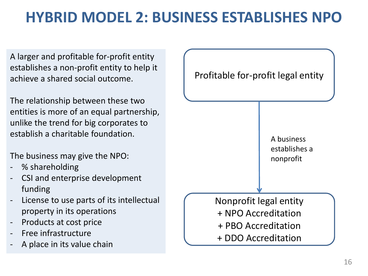## **HYBRID MODEL 2: BUSINESS ESTABLISHES NPO**

A larger and profitable for-profit entity establishes a non-profit entity to help it achieve a shared social outcome.

The relationship between these two entities is more of an equal partnership, unlike the trend for big corporates to establish a charitable foundation.

The business may give the NPO:

- % shareholding
- CSI and enterprise development funding
- License to use parts of its intellectual property in its operations
- Products at cost price
- Free infrastructure
- A place in its value chain

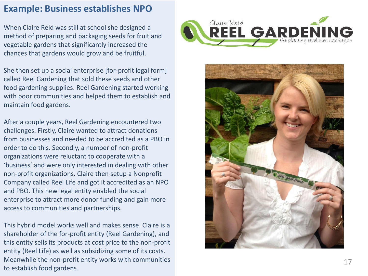#### **Example: Business establishes NPO**

When Claire Reid was still at school she designed a method of preparing and packaging seeds for fruit and vegetable gardens that significantly increased the chances that gardens would grow and be fruitful.

She then set up a social enterprise [for -profit legal form] called Reel Gardening that sold these seeds and other food gardening supplies. Reel Gardening started working with poor communities and helped them to establish and maintain food gardens.

After a couple years, Reel Gardening encountered two challenges. Firstly, Claire wanted to attract donations from businesses and needed to be accredited as a PBO in order to do this. Secondly, a number of non -profit organizations were reluctant to cooperate with a 'business' and were only interested in dealing with other non -profit organizations. Claire then setup a Nonprofit Company called Reel Life and got it accredited as an NPO and PBO. This new legal entity enabled the social enterprise to attract more donor funding and gain more access to communities and partnerships.

This hybrid model works well and makes sense. Claire is a shareholder of the for -profit entity (Reel Gardening), and this entity sells its products at cost price to the non -profit entity (Reel Life) as well as subsidizing some of its costs. Meanwhile the non -profit entity works with communities to establish food gardens.



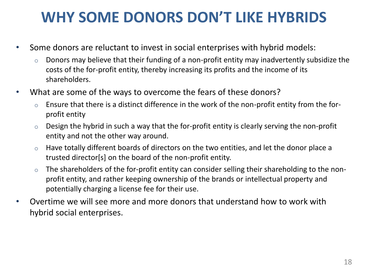#### **WHY SOME DONORS DON'T LIKE HYBRIDS**

- Some donors are reluctant to invest in social enterprises with hybrid models:
	- $\circ$  Donors may believe that their funding of a non-profit entity may inadvertently subsidize the costs of the for-profit entity, thereby increasing its profits and the income of its shareholders.
- What are some of the ways to overcome the fears of these donors?
	- Ensure that there is a distinct difference in the work of the non-profit entity from the forprofit entity
	- $\circ$  Design the hybrid in such a way that the for-profit entity is clearly serving the non-profit entity and not the other way around.
	- $\circ$  Have totally different boards of directors on the two entities, and let the donor place a trusted director[s] on the board of the non-profit entity.
	- $\circ$  The shareholders of the for-profit entity can consider selling their shareholding to the nonprofit entity, and rather keeping ownership of the brands or intellectual property and potentially charging a license fee for their use.
- Overtime we will see more and more donors that understand how to work with hybrid social enterprises.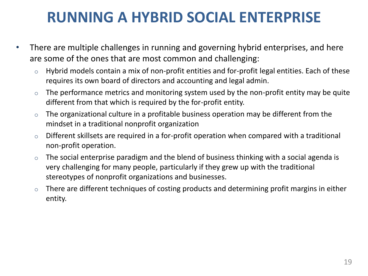#### **RUNNING A HYBRID SOCIAL ENTERPRISE**

- There are multiple challenges in running and governing hybrid enterprises, and here are some of the ones that are most common and challenging:
	- $\circ$  Hybrid models contain a mix of non-profit entities and for-profit legal entities. Each of these requires its own board of directors and accounting and legal admin.
	- $\circ$  The performance metrics and monitoring system used by the non-profit entity may be quite different from that which is required by the for-profit entity.
	- $\circ$  The organizational culture in a profitable business operation may be different from the mindset in a traditional nonprofit organization
	- $\circ$  Different skillsets are required in a for-profit operation when compared with a traditional non-profit operation.
	- $\circ$  The social enterprise paradigm and the blend of business thinking with a social agenda is very challenging for many people, particularly if they grew up with the traditional stereotypes of nonprofit organizations and businesses.
	- $\circ$  There are different techniques of costing products and determining profit margins in either entity.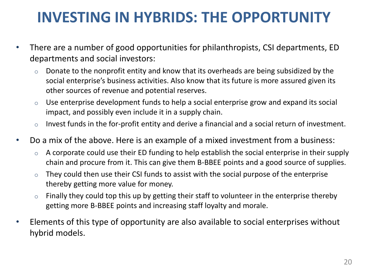### **INVESTING IN HYBRIDS: THE OPPORTUNITY**

- There are a number of good opportunities for philanthropists, CSI departments, ED departments and social investors:
	- $\circ$  Donate to the nonprofit entity and know that its overheads are being subsidized by the social enterprise's business activities. Also know that its future is more assured given its other sources of revenue and potential reserves.
	- $\circ$  Use enterprise development funds to help a social enterprise grow and expand its social impact, and possibly even include it in a supply chain.
	- $\circ$  Invest funds in the for-profit entity and derive a financial and a social return of investment.
- Do a mix of the above. Here is an example of a mixed investment from a business:
	- $\circ$  A corporate could use their ED funding to help establish the social enterprise in their supply chain and procure from it. This can give them B-BBEE points and a good source of supplies.
	- $\circ$  They could then use their CSI funds to assist with the social purpose of the enterprise thereby getting more value for money.
	- $\circ$  Finally they could top this up by getting their staff to volunteer in the enterprise thereby getting more B-BBEE points and increasing staff loyalty and morale.
- Elements of this type of opportunity are also available to social enterprises without hybrid models.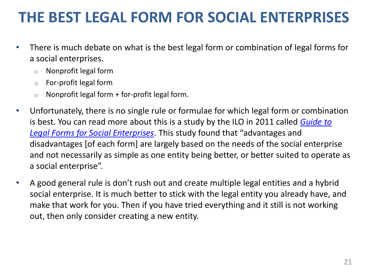#### **THE BEST LEGAL FORM FOR SOCIAL ENTERPRISES**

- There is much debate on what is the best legal form or combination of legal forms for a social enterprises.
	- o Nonprofit legal form
	- o For-profit legal form
	- $\circ$  Nonprofit legal form + for-profit legal form.
- Unfortunately, there is no single rule or formulae for which legal form or combination is best. You can read more about this is a study by the ILO in 2011 called *[Guide to](https://www.dropbox.com/s/5wod4i7gt1a6t4k/legalforms.pdf)  [Legal Forms for Social Enterprises](https://www.dropbox.com/s/5wod4i7gt1a6t4k/legalforms.pdf)*. This study found that "advantages and disadvantages [of each form] are largely based on the needs of the social enterprise and not necessarily as simple as one entity being better, or better suited to operate as a social enterprise".
- A good general rule is don't rush out and create multiple legal entities and a hybrid social enterprise. It is much better to stick with the legal entity you already have, and make that work for you. Then if you have tried everything and it still is not working out, then only consider creating a new entity.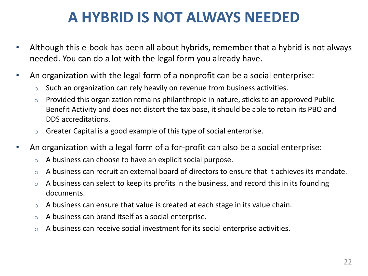#### **A HYBRID IS NOT ALWAYS NEEDED**

- Although this e-book has been all about hybrids, remember that a hybrid is not always needed. You can do a lot with the legal form you already have.
- An organization with the legal form of a nonprofit can be a social enterprise:
	- Such an organization can rely heavily on revenue from business activities.
	- $\circ$  Provided this organization remains philanthropic in nature, sticks to an approved Public Benefit Activity and does not distort the tax base, it should be able to retain its PBO and DDS accreditations.
	- $\circ$  Greater Capital is a good example of this type of social enterprise.
- An organization with a legal form of a for-profit can also be a social enterprise:
	- $\circ$  A business can choose to have an explicit social purpose.
	- $\circ$  A business can recruit an external board of directors to ensure that it achieves its mandate.
	- $\circ$  A business can select to keep its profits in the business, and record this in its founding documents.
	- $\circ$  A business can ensure that value is created at each stage in its value chain.
	- o A business can brand itself as a social enterprise.
	- $\circ$  A business can receive social investment for its social enterprise activities.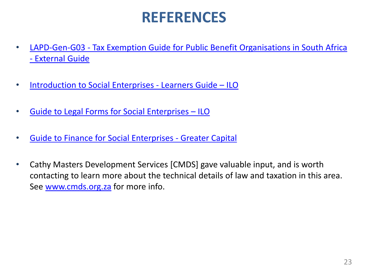#### **REFERENCES**

- [LAPD-Gen-G03 -](http://www.sars.gov.za/AllDocs/OpsDocs/Guides/LAPD-Gen-G03  Tax Exemption Guide for Public Benefit Organisations in South Africa  External Guide.pdf) [Tax Exemption Guide for Public Benefit Organisations](http://www.sars.gov.za/AllDocs/OpsDocs/Guides/LAPD-Gen-G03  Tax Exemption Guide for Public Benefit Organisations in South Africa  External Guide.pdf) [in South Africa](http://www.sars.gov.za/AllDocs/OpsDocs/Guides/LAPD-Gen-G03  Tax Exemption Guide for Public Benefit Organisations in South Africa  External Guide.pdf)  [-](http://www.sars.gov.za/AllDocs/OpsDocs/Guides/LAPD-Gen-G03 - Tax Exemption Guide for Public Benefit Organisations in South Africa - External Guide.pdf) [External Guide](http://www.sars.gov.za/AllDocs/OpsDocs/Guides/LAPD-Gen-G03 - Tax Exemption Guide for Public Benefit Organisations in South Africa - External Guide.pdf)
- [Introduction to Social Enterprises -](https://www.dropbox.com/s/op2l748ehb577ed/iselearners.pdf) [Learners Guide](https://www.dropbox.com/s/op2l748ehb577ed/iselearners.pdf) [–](https://www.dropbox.com/s/op2l748ehb577ed/iselearners.pdf) [ILO](https://www.dropbox.com/s/op2l748ehb577ed/iselearners.pdf)
- [Guide to Legal Forms for Social Enterprises](https://www.dropbox.com/s/5wod4i7gt1a6t4k/legalforms.pdf) [–](https://www.dropbox.com/s/5wod4i7gt1a6t4k/legalforms.pdf) [ILO](https://www.dropbox.com/s/5wod4i7gt1a6t4k/legalforms.pdf)
- [Guide to Finance for Social Enterprises -](https://www.dropbox.com/s/lo3ll1hwv0u75cm/finance.pdf) [Greater Capital](https://www.dropbox.com/s/lo3ll1hwv0u75cm/finance.pdf)
- Cathy Masters Development Services [CMDS] gave valuable input, and is worth contacting to learn more about the technical details of law and taxation in this area. See [www.cmds.org.za](http://www.cmds.org.za/) for more info.